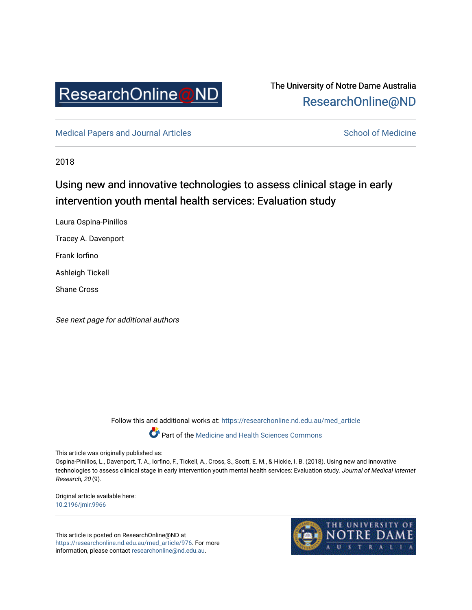

# The University of Notre Dame Australia [ResearchOnline@ND](https://researchonline.nd.edu.au/)

[Medical Papers and Journal Articles](https://researchonline.nd.edu.au/med_article) and School of Medicine

2018

# Using new and innovative technologies to assess clinical stage in early intervention youth mental health services: Evaluation study

Laura Ospina-Pinillos

Tracey A. Davenport

Frank Iorfino

Ashleigh Tickell

Shane Cross

See next page for additional authors

Follow this and additional works at: [https://researchonline.nd.edu.au/med\\_article](https://researchonline.nd.edu.au/med_article?utm_source=researchonline.nd.edu.au%2Fmed_article%2F976&utm_medium=PDF&utm_campaign=PDFCoverPages) 

Part of the [Medicine and Health Sciences Commons](http://network.bepress.com/hgg/discipline/648?utm_source=researchonline.nd.edu.au%2Fmed_article%2F976&utm_medium=PDF&utm_campaign=PDFCoverPages)

This article was originally published as:

Ospina-Pinillos, L., Davenport, T. A., Iorfino, F., Tickell, A., Cross, S., Scott, E. M., & Hickie, I. B. (2018). Using new and innovative technologies to assess clinical stage in early intervention youth mental health services: Evaluation study. Journal of Medical Internet Research, 20 (9).

Original article available here: [10.2196/jmir.9966](https://doi.org/10.2196/jmir.9966) 

This article is posted on ResearchOnline@ND at [https://researchonline.nd.edu.au/med\\_article/976](https://researchonline.nd.edu.au/med_article/976). For more information, please contact [researchonline@nd.edu.au.](mailto:researchonline@nd.edu.au)

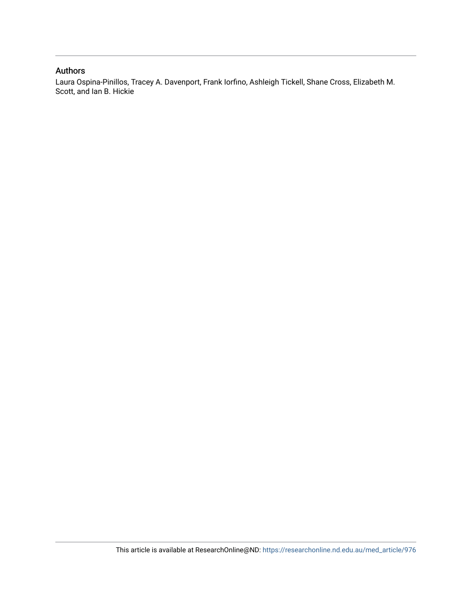### Authors

Laura Ospina-Pinillos, Tracey A. Davenport, Frank Iorfino, Ashleigh Tickell, Shane Cross, Elizabeth M. Scott, and Ian B. Hickie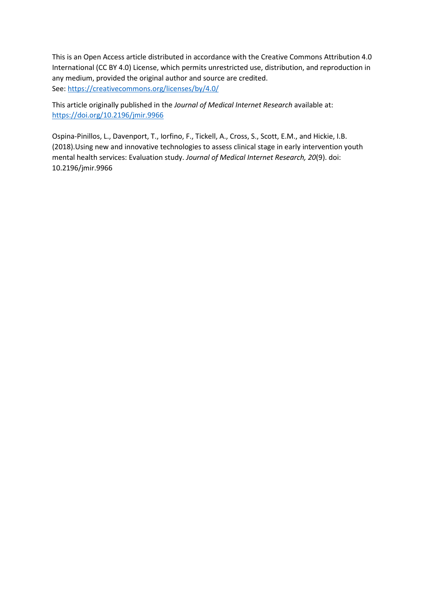This is an Open Access article distributed in accordance with the Creative Commons Attribution 4.0 International (CC BY 4.0) License, which permits unrestricted use, distribution, and reproduction in any medium, provided the original author and source are credited. See[: https://creativecommons.org/licenses/by/4.0/](https://creativecommons.org/licenses/by/4.0/)

This article originally published in the *Journal of Medical Internet Research* available at: <https://doi.org/10.2196/jmir.9966>

Ospina-Pinillos, L., Davenport, T., Iorfino, F., Tickell, A., Cross, S., Scott, E.M., and Hickie, I.B. (2018).Using new and innovative technologies to assess clinical stage in early intervention youth mental health services: Evaluation study. *Journal of Medical Internet Research, 20*(9). doi: 10.2196/jmir.9966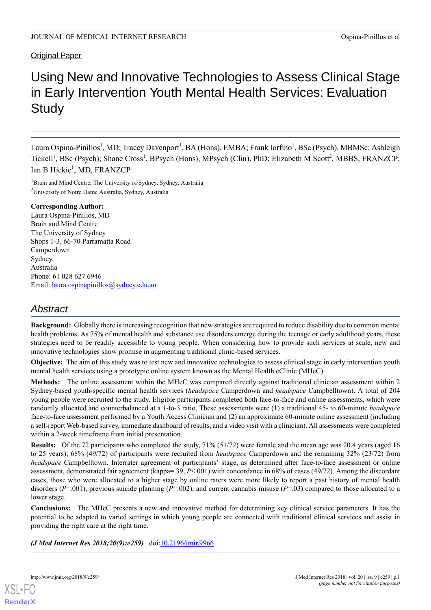### Original Paper

# Using New and Innovative Technologies to Assess Clinical Stage in Early Intervention Youth Mental Health Services: Evaluation **Study**

Laura Ospina-Pinillos<sup>1</sup>, MD; Tracey Davenport<sup>1</sup>, BA (Hons), EMBA; Frank Iorfino<sup>1</sup>, BSc (Psych), MBMSc; Ashleigh Tickell<sup>1</sup>, BSc (Psych); Shane Cross<sup>1</sup>, BPsych (Hons), MPsych (Clin), PhD; Elizabeth M Scott<sup>2</sup>, MBBS, FRANZCP; Ian B Hickie<sup>1</sup>, MD, FRANZCP

<sup>1</sup>Brain and Mind Centre, The University of Sydney, Sydney, Australia <sup>2</sup>University of Notre Dame Australia, Sydney, Australia

#### **Corresponding Author:**

Laura Ospina-Pinillos, MD Brain and Mind Centre The University of Sydney Shops 1-3, 66-70 Parramatta Road Camperdown Sydney, Australia Phone: 61 028 627 6946 Email: <u>[laura.ospinapinillos@sydney.edu.au](mailto:laura.ospinapinillos@sydney.edu.au)</u>

## *Abstract*

**Background:** Globally there is increasing recognition that new strategies are required to reduce disability due to common mental health problems. As 75% of mental health and substance use disorders emerge during the teenage or early adulthood years, these strategies need to be readily accessible to young people. When considering how to provide such services at scale, new and innovative technologies show promise in augmenting traditional clinic-based services.

**Objective:** The aim of this study was to test new and innovative technologies to assess clinical stage in early intervention youth mental health services using a prototypic online system known as the Mental Health eClinic (MHeC).

**Methods:** The online assessment within the MHeC was compared directly against traditional clinician assessment within 2 Sydney-based youth-specific mental health services (*headspace* Camperdown and *headspace* Campbelltown). A total of 204 young people were recruited to the study. Eligible participants completed both face-to-face and online assessments, which were randomly allocated and counterbalanced at a 1-to-3 ratio. These assessments were (1) a traditional 45- to 60-minute *headspace* face-to-face assessment performed by a Youth Access Clinician and (2) an approximate 60-minute online assessment (including a self-report Web-based survey, immediate dashboard of results, and a video visit with a clinician). All assessments were completed within a 2-week timeframe from initial presentation.

**Results:** Of the 72 participants who completed the study, 71% (51/72) were female and the mean age was 20.4 years (aged 16 to 25 years); 68% (49/72) of participants were recruited from *headspace* Camperdown and the remaining 32% (23/72) from *headspace* Campbelltown. Interrater agreement of participants' stage, as determined after face-to-face assessment or online assessment, demonstrated fair agreement (kappa=.39, *P*<.001) with concordance in 68% of cases (49/72). Among the discordant cases, those who were allocated to a higher stage by online raters were more likely to report a past history of mental health disorders ( $P=001$ ), previous suicide planning ( $P=002$ ), and current cannabis misuse ( $P=03$ ) compared to those allocated to a lower stage.

**Conclusions:** The MHeC presents a new and innovative method for determining key clinical service parameters. It has the potential to be adapted to varied settings in which young people are connected with traditional clinical services and assist in providing the right care at the right time.

*(J Med Internet Res 2018;20(9):e259)* doi:[10.2196/jmir.9966](http://dx.doi.org/10.2196/jmir.9966)

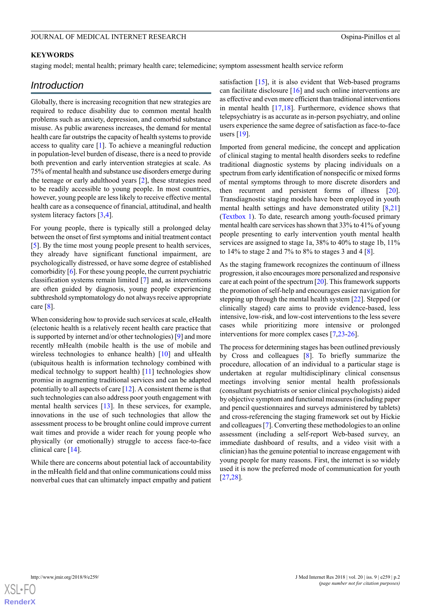#### **KEYWORDS**

staging model; mental health; primary health care; telemedicine; symptom assessment health service reform

### *Introduction*

Globally, there is increasing recognition that new strategies are required to reduce disability due to common mental health problems such as anxiety, depression, and comorbid substance misuse. As public awareness increases, the demand for mental health care far outstrips the capacity of health systems to provide access to quality care [\[1](#page-12-0)]. To achieve a meaningful reduction in population-level burden of disease, there is a need to provide both prevention and early intervention strategies at scale. As 75% of mental health and substance use disorders emerge during the teenage or early adulthood years [\[2](#page-12-1)], these strategies need to be readily accessible to young people. In most countries, however, young people are less likely to receive effective mental health care as a consequence of financial, attitudinal, and health system literacy factors [\[3](#page-12-2),[4\]](#page-12-3).

For young people, there is typically still a prolonged delay between the onset of first symptoms and initial treatment contact [[5\]](#page-12-4). By the time most young people present to health services, they already have significant functional impairment, are psychologically distressed, or have some degree of established comorbidity [\[6](#page-12-5)]. For these young people, the current psychiatric classification systems remain limited [\[7](#page-12-6)] and, as interventions are often guided by diagnosis, young people experiencing subthreshold symptomatology do not always receive appropriate care [[8\]](#page-12-7).

When considering how to provide such services at scale, eHealth (electonic health is a relatively recent health care practice that is supported by internet and/or other technologies) [[9\]](#page-12-8) and more recently mHealth (mobile health is the use of mobile and wireless technologies to enhance health) [\[10](#page-12-9)] and uHealth (ubiquitous health is information technology combined with medical technolgy to support health) [\[11\]](#page-12-10) technologies show promise in augmenting traditional services and can be adapted potentially to all aspects of care [\[12](#page-13-0)]. A consistent theme is that such technologies can also address poor youth engagement with mental health services [[13\]](#page-13-1). In these services, for example, innovations in the use of such technologies that allow the assessment process to be brought online could improve current wait times and provide a wider reach for young people who physically (or emotionally) struggle to access face-to-face clinical care [[14\]](#page-13-2).

While there are concerns about potential lack of accountability in the mHealth field and that online communications could miss nonverbal cues that can ultimately impact empathy and patient satisfaction [\[15](#page-13-3)], it is also evident that Web-based programs can facilitate disclosure [\[16](#page-13-4)] and such online interventions are as effective and even more efficient than traditional interventions in mental health [\[17](#page-13-5),[18\]](#page-13-6). Furthermore, evidence shows that telepsychiatry is as accurate as in-person psychiatry, and online users experience the same degree of satisfaction as face-to-face users  $[19]$  $[19]$ .

Imported from general medicine, the concept and application of clinical staging to mental health disorders seeks to redefine traditional diagnostic systems by placing individuals on a spectrum from early identification of nonspecific or mixed forms of mental symptoms through to more discrete disorders and then recurrent and persistent forms of illness [[20\]](#page-13-8). Transdiagnostic staging models have been employed in youth mental health settings and have demonstrated utility [[8](#page-12-7)[,21](#page-13-9)] ([Textbox 1\)](#page-5-0). To date, research among youth-focused primary mental health care services has shown that 33% to 41% of young people presenting to early intervention youth mental health services are assigned to stage 1a, 38% to 40% to stage 1b, 11% to 14% to stage 2 and 7% to 8% to stages 3 and 4 [[8\]](#page-12-7).

As the staging framework recognizes the continuum of illness progression, it also encourages more personalized and responsive care at each point of the spectrum [[20\]](#page-13-8). This framework supports the promotion of self-help and encourages easier navigation for stepping up through the mental health system [[22\]](#page-13-10). Stepped (or clinically staged) care aims to provide evidence-based, less intensive, low-risk, and low-cost interventions to the less severe cases while prioritizing more intensive or prolonged interventions for more complex cases [\[7](#page-12-6),[23-](#page-13-11)[26](#page-13-12)].

The process for determining stages has been outlined previously by Cross and colleagues [[8\]](#page-12-7). To briefly summarize the procedure, allocation of an individual to a particular stage is undertaken at regular multidisciplinary clinical consensus meetings involving senior mental health professionals (consultant psychiatrists or senior clinical psychologists) aided by objective symptom and functional measures (including paper and pencil questionnaires and surveys administered by tablets) and cross-referencing the staging framework set out by Hickie and colleagues [\[7](#page-12-6)]. Converting these methodologies to an online assessment (including a self-report Web-based survey, an immediate dashboard of results, and a video visit with a clinician) has the genuine potential to increase engagement with young people for many reasons. First, the internet is so widely used it is now the preferred mode of communication for youth [[27,](#page-13-13)[28\]](#page-13-14).

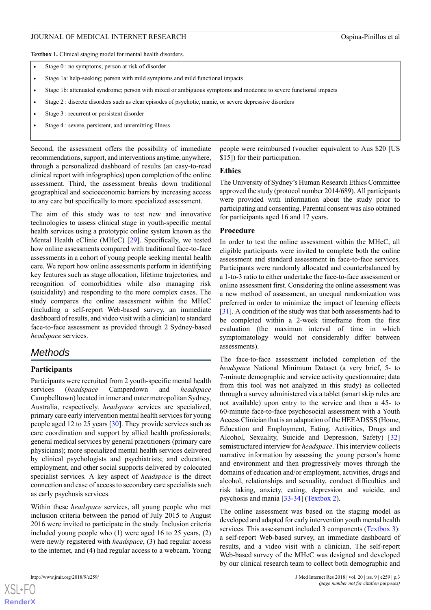<span id="page-5-0"></span>**Textbox 1.** Clinical staging model for mental health disorders.

- Stage 0 : no symptoms; person at risk of disorder
- Stage 1a: help-seeking; person with mild symptoms and mild functional impacts
- Stage 1b: attenuated syndrome; person with mixed or ambiguous symptoms and moderate to severe functional impacts
- Stage 2 : discrete disorders such as clear episodes of psychotic, manic, or severe depressive disorders
- Stage 3 : recurrent or persistent disorder
- Stage 4 : severe, persistent, and unremitting illness

Second, the assessment offers the possibility of immediate recommendations, support, and interventions anytime, anywhere, through a personalized dashboard of results (an easy-to-read clinical report with infographics) upon completion of the online assessment. Third, the assessment breaks down traditional geographical and socioeconomic barriers by increasing access to any care but specifically to more specialized assessment.

The aim of this study was to test new and innovative technologies to assess clinical stage in youth-specific mental health services using a prototypic online system known as the Mental Health eClinic (MHeC) [\[29](#page-13-15)]. Specifically, we tested how online assessments compared with traditional face-to-face assessments in a cohort of young people seeking mental health care. We report how online assessments perform in identifying key features such as stage allocation, lifetime trajectories, and recognition of comorbidities while also managing risk (suicidality) and responding to the more complex cases. The study compares the online assessment within the MHeC (including a self-report Web-based survey, an immediate dashboard of results, and video visit with a clinician) to standard face-to-face assessment as provided through 2 Sydney-based *headspace* services.

### *Methods*

#### **Participants**

Participants were recruited from 2 youth-specific mental health services (*headspace* Camperdown and *headspace* Campbelltown) located in inner and outer metropolitan Sydney, Australia, respectively. *headspace* services are specialized, primary care early intervention mental health services for young people aged 12 to 25 years [\[30](#page-13-16)]. They provide services such as care coordination and support by allied health professionals; general medical services by general practitioners (primary care physicians); more specialized mental health services delivered by clinical psychologists and psychiatrists; and education, employment, and other social supports delivered by colocated specialist services. A key aspect of *headspace* is the direct connection and ease of access to secondary care specialists such as early psychosis services.

Within these *headspace* services, all young people who met inclusion criteria between the period of July 2015 to August 2016 were invited to participate in the study. Inclusion criteria included young people who (1) were aged 16 to 25 years, (2) were newly registered with *headspace*, (3) had regular access to the internet, and (4) had regular access to a webcam. Young

people were reimbursed (voucher equivalent to Aus \$20 [US \$15]) for their participation.

#### **Ethics**

The University of Sydney's Human Research Ethics Committee approved the study (protocol number 2014/689). All participants were provided with information about the study prior to participating and consenting. Parental consent was also obtained for participants aged 16 and 17 years.

#### **Procedure**

In order to test the online assessment within the MHeC, all eligible participants were invited to complete both the online assessment and standard assessment in face-to-face services. Participants were randomly allocated and counterbalanced by a 1-to-3 ratio to either undertake the face-to-face assessment or online assessment first. Considering the online assessment was a new method of assessment, an unequal randomization was preferred in order to minimize the impact of learning effects [[31\]](#page-13-17). A condition of the study was that both assessments had to be completed within a 2-week timeframe from the first evaluation (the maximun interval of time in which symptomatology would not considerably differ between assessments).

The face-to-face assessment included completion of the *headspace* National Minimum Dataset (a very brief, 5- to 7-minute demographic and service activity questionnaire; data from this tool was not analyzed in this study) as collected through a survey administered via a tablet (smart skip rules are not available) upon entry to the service and then a 45- to 60-minute face-to-face psychosocial assessment with a Youth Access Clinician that is an adaptation of the HEEADSSS (Home, Education and Employment, Eating, Activities, Drugs and Alcohol, Sexuality, Suicide and Depression, Safety) [\[32](#page-13-18)] semistructured interview for *headspace*. This interview collects narrative information by assessing the young person's home and environment and then progressively moves through the domains of education and/or employment, activities, drugs and alcohol, relationships and sexuality, conduct difficulties and risk taking, anxiety, eating, depression and suicide, and psychosis and mania [\[33](#page-13-19)-[34\]](#page-13-20) ([Textbox 2\)](#page-6-0).

The online assessment was based on the staging model as developed and adapted for early intervention youth mental health services. This assessment included 3 components [\(Textbox 3\)](#page-6-1): a self-report Web-based survey, an immediate dashboard of results, and a video visit with a clinician. The self-report Web-based survey of the MHeC was designed and developed by our clinical research team to collect both demographic and

 $XSI - F($ **[RenderX](http://www.renderx.com/)**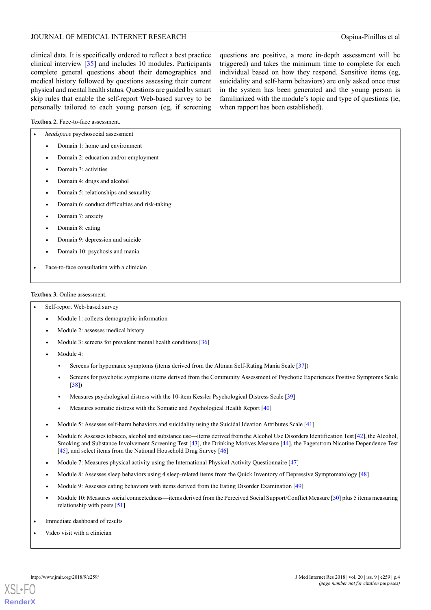clinical data. It is specifically ordered to reflect a best practice clinical interview [[35\]](#page-13-21) and includes 10 modules. Participants complete general questions about their demographics and medical history followed by questions assessing their current physical and mental health status. Questions are guided by smart skip rules that enable the self-report Web-based survey to be personally tailored to each young person (eg, if screening questions are positive, a more in-depth assessment will be triggered) and takes the minimum time to complete for each individual based on how they respond. Sensitive items (eg, suicidality and self-harm behaviors) are only asked once trust in the system has been generated and the young person is familiarized with the module's topic and type of questions (ie, when rapport has been established).

<span id="page-6-0"></span>Textbox 2. Face-to-face assessment.

• *headspace* psychosocial assessment

|                                            | <i>neuaspace</i> psychosocial assessment       |  |  |  |
|--------------------------------------------|------------------------------------------------|--|--|--|
| $\bullet$                                  | Domain 1: home and environment                 |  |  |  |
| $\bullet$                                  | Domain 2: education and/or employment          |  |  |  |
| $\bullet$                                  | Domain 3: activities                           |  |  |  |
| $\bullet$                                  | Domain 4: drugs and alcohol                    |  |  |  |
| $\bullet$                                  | Domain 5: relationships and sexuality          |  |  |  |
| ٠                                          | Domain 6: conduct difficulties and risk-taking |  |  |  |
| $\bullet$                                  | Domain 7: anxiety                              |  |  |  |
| ٠                                          | Domain 8: eating                               |  |  |  |
| ٠                                          | Domain 9: depression and suicide               |  |  |  |
| ٠                                          | Domain 10: psychosis and mania                 |  |  |  |
| Face-to-face consultation with a clinician |                                                |  |  |  |
|                                            |                                                |  |  |  |

#### <span id="page-6-1"></span>**Textbox 3.** Online assessment.

- Self-report Web-based survey
	- Module 1: collects demographic information
	- Module 2: assesses medical history
	- Module 3: screens for prevalent mental health conditions [\[36\]](#page-13-22)
	- Module 4:
		- Screens for hypomanic symptoms (items derived from the Altman Self-Rating Mania Scale [\[37\]](#page-13-23))
		- Screens for psychotic symptoms (items derived from the Community Assessment of Psychotic Experiences Positive Symptoms Scale [\[38\]](#page-14-0))
		- Measures psychological distress with the 10-item Kessler Psychological Distress Scale [\[39](#page-14-1)]
		- Measures somatic distress with the Somatic and Psychological Health Report [[40](#page-14-2)]
	- Module 5: Assesses self-harm behaviors and suicidality using the Suicidal Ideation Attributes Scale [\[41\]](#page-14-3)
	- Module 6: Assesses tobacco, alcohol and substance use—items derived from the Alcohol Use Disorders Identification Test [\[42\]](#page-14-4), the Alcohol, Smoking and Substance Involvement Screening Test [\[43](#page-14-5)], the Drinking Motives Measure [\[44\]](#page-14-6), the Fagerstrom Nicotine Dependence Test [\[45\]](#page-14-7), and select items from the National Household Drug Survey [\[46\]](#page-14-8)
	- Module 7: Measures physical activity using the International Physical Activity Questionnaire [[47\]](#page-14-9)
	- Module 8: Assesses sleep behaviors using 4 sleep-related items from the Quick Inventory of Depressive Symptomatology [\[48\]](#page-14-10)
	- Module 9: Assesses eating behaviors with items derived from the Eating Disorder Examination [\[49\]](#page-14-11)
	- Module 10: Measures social connectedness—items derived from the Perceived Social Support/Conflict Measure [\[50](#page-14-12)] plus 5 items measuring relationship with peers [[51](#page-14-13)]
- Immediate dashboard of results
- Video visit with a clinician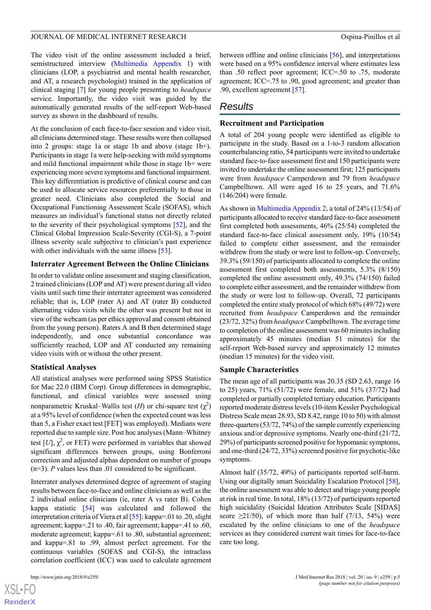The video visit of the online assessment included a brief, semistructured interview [\(Multimedia Appendix 1](#page-12-11)) with clinicians (LOP, a psychiatrist and mental health researcher, and AT, a research psychologist) trained in the application of clinical staging [\[7](#page-12-6)] for young people presenting to *headspace* service. Importantly, the video visit was guided by the automatically generated results of the self-report Web-based survey as shown in the dashboard of results.

At the conclusion of each face-to-face session and video visit, all clinicians determined stage. These results were then collapsed into 2 groups: stage 1a or stage 1b and above (stage 1b+). Participants in stage 1a were help-seeking with mild symptoms and mild functional impairment while those in stage 1b+ were experiencing more severe symptoms and functional impairment. This key differentiation is predictive of clinical course and can be used to allocate service resources preferentially to those in greater need. Clinicians also completed the Social and Occupational Functioning Assessment Scale (SOFAS), which measures an individual's functional status not directly related to the severity of their psychological symptoms [[52\]](#page-14-14), and the Clinical Global Impression Scale-Severity (CGI-S), a 7-point illness severity scale subjective to clinician's past experience with other individuals with the same illness [\[53](#page-14-15)].

#### **Interrater Agreement Between the Online Clinicians**

In order to validate online assessment and staging classification, 2 trained clinicians (LOP and AT) were present during all video visits until such time their interrater agreement was considered reliable; that is, LOP (rater A) and AT (rater B) conducted alternating video visits while the other was present but not in view of the webcam (as per ethics approval and consent obtained from the young person). Raters A and B then determined stage independently, and once substantial concordance was sufficiently reached, LOP and AT conducted any remaining video visits with or without the other present.

#### **Statistical Analyses**

All statistical analyses were performed using SPSS Statistics for Mac 22.0 (IBM Corp). Group differences in demographic, functional, and clinical variables were assessed using nonparametric Kruskal–Wallis test  $(H)$  or chi-square test  $(\chi^2)$ at a 95% level of confidence (when the expected count was less than 5, a Fisher exact test [FET] was employed). Medians were reported due to sample size. Post hoc analyses (Mann–Whitney test  $[U]$ ,  $\chi^2$ , or FET) were performed in variables that showed significant differences between groups, using Bonferroni correction and adjusted alphas dependent on number of groups (n=3). *P* values less than .01 considered to be significant.

Interrater analyses determined degree of agreement of staging results between face-to-face and online clinicians as well as the 2 individual online clinicians (ie, rater A vs rater B). Cohen kappa statistic [\[54](#page-14-16)] was calculated and followed the interpretation criteria of Viera et al [\[55](#page-14-17)]: kappa=.01 to .20, slight agreement; kappa=.21 to .40, fair agreement; kappa=.41 to .60, moderate agreement; kappa=.61 to .80, substantial agreement; and kappa=.81 to .99, almost perfect agreement. For the continuous variables (SOFAS and CGI-S), the intraclass correlation coefficient (ICC) was used to calculate agreement

[XSL](http://www.w3.org/Style/XSL)•FO **[RenderX](http://www.renderx.com/)** between offline and online clinicians [[56\]](#page-14-18), and interpretations were based on a 95% confidence interval where estimates less than .50 reflect poor agreement; ICC=.50 to .75, moderate agreement; ICC=.75 to .90, good agreement; and greater than .90, excellent agreement [\[57](#page-14-19)].

### *Results*

#### **Recruitment and Participation**

A total of 204 young people were identified as eligible to participate in the study. Based on a 1-to-3 random allocation counterbalancing ratio, 54 participants were invited to undertake standard face-to-face assessment first and 150 participants were invited to undertake the online assessment first; 125 participants were from *headspace* Camperdown and 79 from *headspace* Campbelltown. All were aged 16 to 25 years, and 71.6% (146/204) were female.

As shown in [Multimedia Appendix 2,](#page-12-12) a total of 24% (13/54) of participants allocated to receive standard face-to-face assessment first completed both assessments, 46% (25/54) completed the standard face-to-face clinical assessment only, 19% (10/54) failed to complete either assessment, and the remainder withdrew from the study or were lost to follow-up. Conversely, 39.3% (59/150) of participants allocated to complete the online assessment first completed both assessments, 5.3% (8/150) completed the online assessment only, 49.3% (74/150) failed to complete either assessment, and the remainder withdrew from the study or were lost to follow-up. Overall, 72 participants completed the entire study protocol of which 68% (49/72) were recruited from *headspace* Camperdown and the remainder (23/72, 32%) from *headspace* Campbelltown. The average time to completion of the online assessment was 60 minutes including approximately 45 minutes (median 51 minutes) for the self-report Web-based survey and approximately 12 minutes (median 15 minutes) for the video visit.

#### **Sample Characteristics**

The mean age of all participants was 20.35 (SD 2.63, range 16 to 25) years, 71% (51/72) were female, and 51% (37/72) had completed or partially completed tertiary education. Participants reported moderate distress levels (10-item Kessler Psychological Distress Scale mean 28.93, SD 8.42, range 10 to 50) with almost three-quarters (53/72, 74%) of the sample currently experiencing anxious and/or depressive symptoms. Nearly one-third (21/72, 29%) of participants screened positive for hypomanic symptoms, and one-third (24/72, 33%) screened positive for psychotic-like symptoms.

Almost half (35/72, 49%) of participants reported self-harm. Using our digitally smart Suicidality Escalation Protocol [[58\]](#page-14-20), the online assessment was able to detect and triage young people at risk in real time. In total, 18% (13/72) of participants reported high suicidality (Suicidal Ideation Attributes Scale [SIDAS] score  $\geq$ 21/50), of which more than half (7/13, 54%) were escalated by the online clinicians to one of the *headspace* services as they considered current wait times for face-to-face care too long.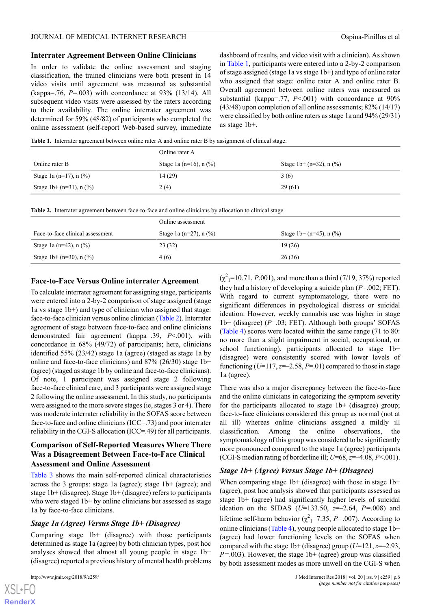#### **Interrater Agreement Between Online Clinicians**

In order to validate the online assessment and staging classification, the trained clinicians were both present in 14 video visits until agreement was measured as substantial (kappa=.76, *P*=.003) with concordance at 93% (13/14). All subsequent video visits were assessed by the raters according to their availability. The online interrater agreement was determined for 59% (48/82) of participants who completed the online assessment (self-report Web-based survey, immediate dashboard of results, and video visit with a clinician). As shown in [Table 1,](#page-8-0) participants were entered into a 2-by-2 comparison of stage assigned (stage 1a vs stage 1b+) and type of online rater who assigned that stage: online rater A and online rater B. Overall agreement between online raters was measured as substantial (kappa=.77, *P*<.001) with concordance at 90% (43/48) upon completion of all online assessments; 82% (14/17) were classified by both online raters as stage 1a and 94% (29/31) as stage 1b+.

<span id="page-8-0"></span>**Table 1.** Interrater agreement between online rater A and online rater B by assignment of clinical stage.

|                               | Online rater A           |                                |  |  |
|-------------------------------|--------------------------|--------------------------------|--|--|
| Online rater B                | Stage 1a (n=16), $n$ (%) | Stage 1b+ $(n=32)$ , n $(\% )$ |  |  |
| Stage 1a (n=17), $n$ (%)      | 14(29)                   | 3(6)                           |  |  |
| Stage 1b+ $(n=31)$ , n $(\%)$ | 2(4)                     | 29(61)                         |  |  |

<span id="page-8-1"></span>**Table 2.** Interrater agreement between face-to-face and online clinicians by allocation to clinical stage.

|                                  | Online assessment        |                               |  |  |
|----------------------------------|--------------------------|-------------------------------|--|--|
| Face-to-face clinical assessment | Stage 1a (n=27), $n$ (%) | Stage 1b+ $(n=45)$ , n $(\%)$ |  |  |
| Stage 1a (n=42), n $(\% )$       | 23(32)                   | 19(26)                        |  |  |
| Stage 1b+ $(n=30)$ , n $(\% )$   | 4(6)                     | 26(36)                        |  |  |

#### **Face-to-Face Versus Online interrater Agreement**

To calculate interrater agreement for assigning stage, participants were entered into a 2-by-2 comparison of stage assigned (stage 1a vs stage 1b+) and type of clinician who assigned that stage: face-to-face clinician versus online clinician [\(Table 2\)](#page-8-1). Interrater agreement of stage between face-to-face and online clinicians demonstrated fair agreement (kappa=.39, *P*<.001), with concordance in 68% (49/72) of participants; here, clinicians identified 55% (23/42) stage 1a (agree) (staged as stage 1a by online and face-to-face clinicians) and 87% (26/30) stage 1b+ (agree) (staged as stage 1b by online and face-to-face clinicians). Of note, 1 participant was assigned stage 2 following face-to-face clinical care, and 3 participants were assigned stage 2 following the online assessment. In this study, no participants were assigned to the more severe stages (ie, stages 3 or 4). There was moderate interrater reliability in the SOFAS score between face-to-face and online clinicians (ICC=.73) and poor interrater reliability in the CGI-S allocation (ICC=.49) for all participants.

#### **Comparison of Self-Reported Measures Where There Was a Disagreement Between Face-to-Face Clinical Assessment and Online Assessment**

[Table 3](#page-9-0) shows the main self-reported clinical characteristics across the 3 groups: stage 1a (agree); stage 1b+ (agree); and stage 1b+ (disagree). Stage 1b+ (disagree) refers to participants who were staged 1b+ by online clinicians but assessed as stage 1a by face-to-face clinicians.

#### *Stage 1a (Agree) Versus Stage 1b+ (Disagree)*

Comparing stage 1b+ (disagree) with those participants determined as stage 1a (agree) by both clinician types, post hoc analyses showed that almost all young people in stage 1b+ (disagree) reported a previous history of mental health problems

 $(\chi^2_{1} = 10.71, P.001)$ , and more than a third (7/19, 37%) reported they had a history of developing a suicide plan (*P*=.002; FET). With regard to current symptomatology, there were no significant differences in psychological distress or suicidal ideation. However, weekly cannabis use was higher in stage 1b+ (disagree) (*P*=.03; FET). Although both groups' SOFAS ([Table 4](#page-10-0)) scores were located within the same range (71 to 80: no more than a slight impairment in social, occupational, or school functioning), participants allocated to stage 1b+ (disagree) were consistently scored with lower levels of functioning  $(U=117, z=-2.58, P=.01)$  compared to those in stage 1a (agree).

There was also a major discrepancy between the face-to-face and the online clinicians in categorizing the symptom severity for the participants allocated to stage  $1b+$  (disagree) group; face-to-face clinicians considered this group as normal (not at all ill) whereas online clinicians assigned a mildly ill classification. Among the online observations, the symptomatology of this group was considered to be significantly more pronounced compared to the stage 1a (agree) participants (CGI-S median rating of borderline ill; *U*=68, *z*=–4.08, *P*<.001).

#### *Stage 1b+ (Agree) Versus Stage 1b+ (Disagree)*

When comparing stage  $1b+$  (disagree) with those in stage  $1b+$ (agree), post hoc analysis showed that participants assessed as stage 1b+ (agree) had significantly higher levels of suicidal ideation on the SIDAS (*U*=133.50, *z*=–2.64, *P=*.008) and lifetime self-harm behavior ( $\chi^2$ <sub>1</sub>=7.35, *P*=.007). According to online clinicians [\(Table 4](#page-10-0)), young people allocated to stage 1b+ (agree) had lower functioning levels on the SOFAS when compared with the stage  $1b + (disagree)$  group  $(U=121, z=-2.93, z=-1.05)$ *P=*.003). However, the stage 1b+ (agree) group was classified by both assessment modes as more unwell on the CGI-S when

```
XS • FC
RenderX
```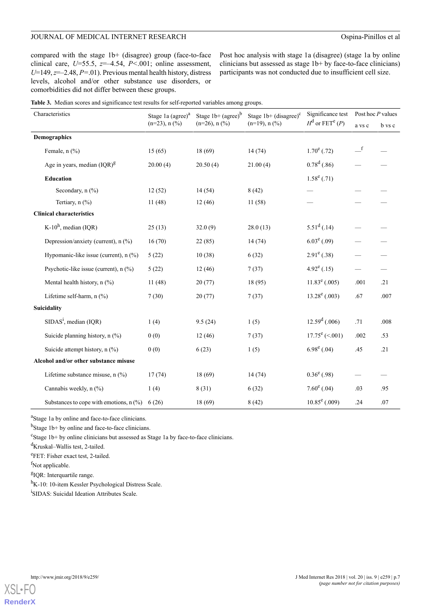#### JOURNAL OF MEDICAL INTERNET RESEARCH Ospina-Pinillos et al

compared with the stage 1b+ (disagree) group (face-to-face clinical care, *U*=55.5, *z*=–4.54, *P<*.001; online assessment, *U*=149, *z*=–2.48, *P=*.01). Previous mental health history, distress levels, alcohol and/or other substance use disorders, or comorbidities did not differ between these groups.

Post hoc analysis with stage 1a (disagree) (stage 1a by online clinicians but assessed as stage 1b+ by face-to-face clinicians) participants was not conducted due to insufficient cell size.

<span id="page-9-0"></span>

| Characteristics                           | Stage 1a $\left($ agree $\right)$ <sup>a</sup><br>$(n=23)$ , n $(\frac{9}{0})$ | Stage $1b + (agree)^b$<br>$(n=26)$ , n $(\frac{9}{6})$ | Stage $1b + (disagree)^c$<br>$(n=19)$ , n $(\frac{6}{9})$ | Significance test<br>$H^d$ or FET <sup>e</sup> (P) | Post hoc P values                      |        |
|-------------------------------------------|--------------------------------------------------------------------------------|--------------------------------------------------------|-----------------------------------------------------------|----------------------------------------------------|----------------------------------------|--------|
|                                           |                                                                                |                                                        |                                                           |                                                    | a vs c                                 | b vs c |
| <b>Demographics</b>                       |                                                                                |                                                        |                                                           |                                                    |                                        |        |
| Female, $n$ $(\%)$                        | 15(65)                                                                         | 18(69)                                                 | 14(74)                                                    | $1.70^e$ (.72)                                     | $\overline{\phantom{0}}^{\phantom{0}}$ |        |
| Age in years, median $(IQR)^{g}$          | 20.00(4)                                                                       | 20.50(4)                                               | 21.00(4)                                                  | $0.78^d$ (.86)                                     |                                        |        |
| <b>Education</b>                          |                                                                                |                                                        |                                                           | $1.58^e(.71)$                                      |                                        |        |
| Secondary, $n$ (%)                        | 12(52)                                                                         | 14(54)                                                 | 8(42)                                                     |                                                    |                                        |        |
| Tertiary, n (%)                           | 11(48)                                                                         | 12(46)                                                 | 11(58)                                                    |                                                    |                                        |        |
| <b>Clinical characteristics</b>           |                                                                                |                                                        |                                                           |                                                    |                                        |        |
| K-10 <sup>h</sup> , median (IQR)          | 25(13)                                                                         | 32.0(9)                                                | 28.0(13)                                                  | $5.51^d$ (.14)                                     |                                        |        |
| Depression/anxiety (current), n (%)       | 16(70)                                                                         | 22(85)                                                 | 14(74)                                                    | $6.03^e(.09)$                                      |                                        |        |
| Hypomanic-like issue (current), n (%)     | 5(22)                                                                          | 10(38)                                                 | 6(32)                                                     | $2.91^e(.38)$                                      |                                        |        |
| Psychotic-like issue (current), n (%)     | 5(22)                                                                          | 12(46)                                                 | 7(37)                                                     | $4.92^e(.15)$                                      |                                        |        |
| Mental health history, n (%)              | 11(48)                                                                         | 20(77)                                                 | 18 (95)                                                   | $11.83^e$ (.005)                                   | .001                                   | .21    |
| Lifetime self-harm, n (%)                 | 7(30)                                                                          | 20(77)                                                 | 7(37)                                                     | $13.28^e(.003)$                                    | .67                                    | .007   |
| Suicidality                               |                                                                                |                                                        |                                                           |                                                    |                                        |        |
| $SIDASi$ , median (IQR)                   | 1(4)                                                                           | 9.5(24)                                                | 1(5)                                                      | $12.59^{\rm d}$ (.006)                             | .71                                    | .008   |
| Suicide planning history, n (%)           | 0(0)                                                                           | 12(46)                                                 | 7(37)                                                     | $17.75^e$ (<.001)                                  | .002                                   | .53    |
| Suicide attempt history, $n$ (%)          | 0(0)                                                                           | 6(23)                                                  | 1(5)                                                      | $6.98^e$ (.04)                                     | .45                                    | .21    |
| Alcohol and/or other substance misuse     |                                                                                |                                                        |                                                           |                                                    |                                        |        |
| Lifetime substance misuse, $n$ (%)        | 17(74)                                                                         | 18(69)                                                 | 14(74)                                                    | $0.36^e$ (.98)                                     |                                        |        |
| Cannabis weekly, n (%)                    | 1(4)                                                                           | 8 (31)                                                 | 6(32)                                                     | $7.60^e(.04)$                                      | .03                                    | .95    |
| Substances to cope with emotions, $n$ (%) | 6(26)                                                                          | 18 (69)                                                | 8(42)                                                     | $10.85^e(.009)$                                    | .24                                    | .07    |

<sup>a</sup>Stage 1a by online and face-to-face clinicians.

<sup>b</sup>Stage 1b+ by online and face-to-face clinicians.

c Stage 1b+ by online clinicians but assessed as Stage 1a by face-to-face clinicians.

<sup>d</sup>Kruskal–Wallis test, 2-tailed.

eFET: Fisher exact test, 2-tailed.

f<sub>Not applicable.</sub>

<sup>g</sup>IQR: Interquartile range.

<sup>h</sup>K-10: 10-item Kessler Psychological Distress Scale.

<sup>i</sup>SIDAS: Suicidal Ideation Attributes Scale.

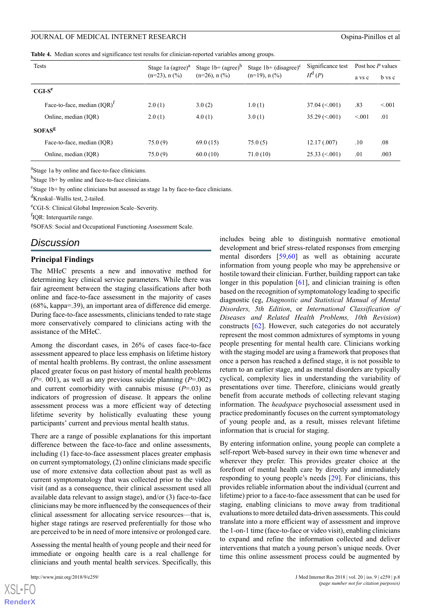<span id="page-10-0"></span>**Table 4.** Median scores and significance test results for clinician-reported variables among groups.

| <b>Tests</b>                   | Stage 1a $\left( \text{agree} \right)^a$ | Stage $1b + (agree)^b$<br>$(n=26)$ , n $(\frac{9}{6})$ | Stage $1b + (disagree)^c$<br>$(n=19)$ , n $(\frac{9}{0})$ | Significance test<br>$H^d(P)$ | Post hoc P values |        |
|--------------------------------|------------------------------------------|--------------------------------------------------------|-----------------------------------------------------------|-------------------------------|-------------------|--------|
|                                | $(n=23)$ , n $(\%)$                      |                                                        |                                                           |                               | a vs c            | b vs c |
| $CGI-Se$                       |                                          |                                                        |                                                           |                               |                   |        |
| Face-to-face, median $(IOR)^T$ | 2.0(1)                                   | 3.0(2)                                                 | 1.0(1)                                                    | $37.04 \le 0.001$             | .83               | < 0.01 |
| Online, median (IOR)           | 2.0(1)                                   | 4.0(1)                                                 | 3.0(1)                                                    | $35.29 \le 0.001$             | < 0.01            | .01    |
| <b>SOFAS<sup>g</sup></b>       |                                          |                                                        |                                                           |                               |                   |        |
| Face-to-face, median (IOR)     | 75.0(9)                                  | 69.0(15)                                               | 75.0(5)                                                   | 12.17(007)                    | .10               | .08    |
| Online, median (IOR)           | 75.0(9)                                  | 60.0(10)                                               | 71.0(10)                                                  | $25.33 \le 0.001$             | .01               | .003   |

<sup>a</sup>Stage 1a by online and face-to-face clinicians.

<sup>b</sup>Stage 1b+ by online and face-to-face clinicians.

<sup>c</sup>Stage 1b+ by online clinicians but assessed as stage 1a by face-to-face clinicians.

<sup>d</sup>Kruskal–Wallis test, 2-tailed.

<sup>e</sup>CGI-S: Clinical Global Impression Scale–Severity.

f<sub>IQR: Interquartile range.</sub>

<sup>g</sup>SOFAS: Social and Occupational Functioning Assessment Scale.

### *Discussion*

#### **Principal Findings**

The MHeC presents a new and innovative method for determining key clinical service parameters. While there was fair agreement between the staging classifications after both online and face-to-face assessment in the majority of cases (68%, kappa=.39), an important area of difference did emerge. During face-to-face assessments, clinicians tended to rate stage more conservatively compared to clinicians acting with the assistance of the MHeC.

Among the discordant cases, in 26% of cases face-to-face assessment appeared to place less emphasis on lifetime history of mental health problems. By contrast, the online assessment placed greater focus on past history of mental health problems *(P*=*.* 001), as well as any previous suicide planning (*P*=.002) and current comorbidity with cannabis misuse  $(P=0.03)$  as indicators of progression of disease. It appears the online assessment process was a more efficient way of detecting lifetime severity by holistically evaluating these young participants' current and previous mental health status.

There are a range of possible explanations for this important difference between the face-to-face and online assessments, including (1) face-to-face assessment places greater emphasis on current symptomatology, (2) online clinicians made specific use of more extensive data collection about past as well as current symptomatology that was collected prior to the video visit (and as a consequence, their clinical assessment used all available data relevant to assign stage), and/or (3) face-to-face clinicians may be more influenced by the consequences of their clinical assessment for allocating service resources—that is, higher stage ratings are reserved preferentially for those who are perceived to be in need of more intensive or prolonged care.

Assessing the mental health of young people and their need for immediate or ongoing health care is a real challenge for clinicians and youth mental health services. Specifically, this

 $XS$ -FO **[RenderX](http://www.renderx.com/)** includes being able to distinguish normative emotional development and brief stress-related responses from emerging mental disorders [\[59](#page-14-21),[60\]](#page-14-22) as well as obtaining accurate information from young people who may be apprehensive or hostile toward their clinician. Further, building rapport can take longer in this population  $[61]$  $[61]$ , and clinician training is often based on the recognition of symptomatology leading to specific diagnostic (eg, *Diagnostic and Statistical Manual of Mental Disorders, 5th Edition*, or *International Classification of Diseases and Related Health Problems, 10th Revision*) constructs [[62\]](#page-14-24). However, such categories do not accurately represent the most common admixtures of symptoms in young people presenting for mental health care. Clinicians working with the staging model are using a framework that proposes that once a person has reached a defined stage, it is not possible to return to an earlier stage, and as mental disorders are typically cyclical, complexity lies in understanding the variability of presentations over time. Therefore, clinicians would greatly benefit from accurate methods of collecting relevant staging information. The *headspace* psychosocial assessment used in practice predominantly focuses on the current symptomatology of young people and, as a result, misses relevant lifetime information that is crucial for staging.

By entering information online, young people can complete a self-report Web-based survey in their own time whenever and wherever they prefer. This provides greater choice at the forefront of mental health care by directly and immediately responding to young people's needs [[29\]](#page-13-15). For clinicians, this provides reliable information about the individual (current and lifetime) prior to a face-to-face assessment that can be used for staging, enabling clinicians to move away from traditional evaluations to more detailed data-driven assessments. This could translate into a more efficient way of assessment and improve the 1-on-1 time (face-to-face or video visit), enabling clinicians to expand and refine the information collected and deliver interventions that match a young person's unique needs. Over time this online assessment process could be augmented by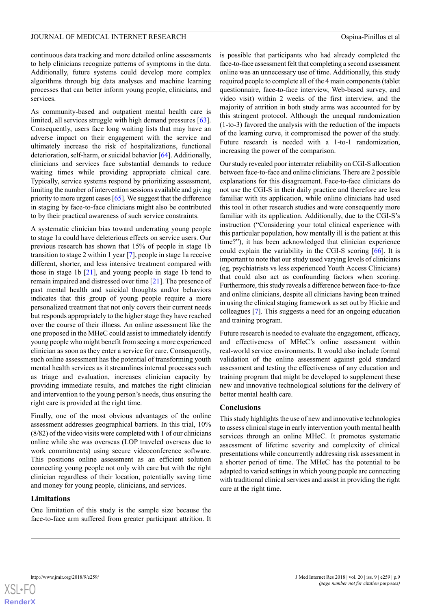continuous data tracking and more detailed online assessments to help clinicians recognize patterns of symptoms in the data. Additionally, future systems could develop more complex algorithms through big data analyses and machine learning processes that can better inform young people, clinicians, and services.

As community-based and outpatient mental health care is limited, all services struggle with high demand pressures [[63\]](#page-14-25). Consequently, users face long waiting lists that may have an adverse impact on their engagement with the service and ultimately increase the risk of hospitalizations, functional deterioration, self-harm, or suicidal behavior [\[64](#page-15-0)]. Additionally, clinicians and services face substantial demands to reduce waiting times while providing appropriate clinical care. Typically, service systems respond by prioritizing assessment, limiting the number of intervention sessions available and giving priority to more urgent cases [\[65\]](#page-15-1). We suggest that the difference in staging by face-to-face clinicians might also be contributed to by their practical awareness of such service constraints.

A systematic clinician bias toward underrating young people to stage 1a could have deleterious effects on service users. Our previous research has shown that 15% of people in stage 1b transition to stage 2 within 1 year [\[7](#page-12-6)], people in stage 1a receive different, shorter, and less intensive treatment compared with those in stage 1b [[21\]](#page-13-9), and young people in stage 1b tend to remain impaired and distressed over time [[21\]](#page-13-9). The presence of past mental health and suicidal thoughts and/or behaviors indicates that this group of young people require a more personalized treatment that not only covers their current needs but responds appropriately to the higher stage they have reached over the course of their illness. An online assessment like the one proposed in the MHeC could assist to immediately identify young people who might benefit from seeing a more experienced clinician as soon as they enter a service for care. Consequently, such online assessment has the potential of transforming youth mental health services as it streamlines internal processes such as triage and evaluation, increases clinician capacity by providing immediate results, and matches the right clinician and intervention to the young person's needs, thus ensuring the right care is provided at the right time.

Finally, one of the most obvious advantages of the online assessment addresses geographical barriers. In this trial, 10% (8/82) of the video visits were completed with 1 of our clinicians online while she was overseas (LOP traveled overseas due to work commitments) using secure videoconference software. This positions online assessment as an efficient solution connecting young people not only with care but with the right clinician regardless of their location, potentially saving time and money for young people, clinicians, and services.

#### **Limitations**

One limitation of this study is the sample size because the face-to-face arm suffered from greater participant attrition. It is possible that participants who had already completed the face-to-face assessment felt that completing a second assessment online was an unnecessary use of time. Additionally, this study required people to complete all of the 4 main components (tablet questionnaire, face-to-face interview, Web-based survey, and video visit) within 2 weeks of the first interview, and the majority of attrition in both study arms was accounted for by this stringent protocol. Although the unequal randomization (1-to-3) favored the analysis with the reduction of the impacts of the learning curve, it compromised the power of the study. Future research is needed with a 1-to-1 randomization, increasing the power of the comparison.

Our study revealed poor interrater reliability on CGI-S allocation between face-to-face and online clinicians. There are 2 possible explanations for this disagreement. Face-to-face clinicians do not use the CGI-S in their daily practice and therefore are less familiar with its application, while online clinicians had used this tool in other research studies and were consequently more familiar with its application. Additionally, due to the CGI-S's instruction ("Considering your total clinical experience with this particular population, how mentally ill is the patient at this time?"), it has been acknowledged that clinician experience could explain the variability in the CGI-S scoring [[66\]](#page-15-2). It is important to note that our study used varying levels of clinicians (eg, psychiatrists vs less experienced Youth Access Clinicians) that could also act as confounding factors when scoring. Furthermore, this study reveals a difference between face-to-face and online clinicians, despite all clinicians having been trained in using the clinical staging framework as set out by Hickie and colleagues [[7\]](#page-12-6). This suggests a need for an ongoing education and training program.

Future research is needed to evaluate the engagement, efficacy, and effectiveness of MHeC's online assessment within real-world service environments. It would also include formal validation of the online assessment against gold standard assessment and testing the effectiveness of any education and training program that might be developed to supplement these new and innovative technological solutions for the delivery of better mental health care.

#### **Conclusions**

This study highlights the use of new and innovative technologies to assess clinical stage in early intervention youth mental health services through an online MHeC. It promotes systematic assessment of lifetime severity and complexity of clinical presentations while concurrently addressing risk assessment in a shorter period of time. The MHeC has the potential to be adapted to varied settings in which young people are connecting with traditional clinical services and assist in providing the right care at the right time.

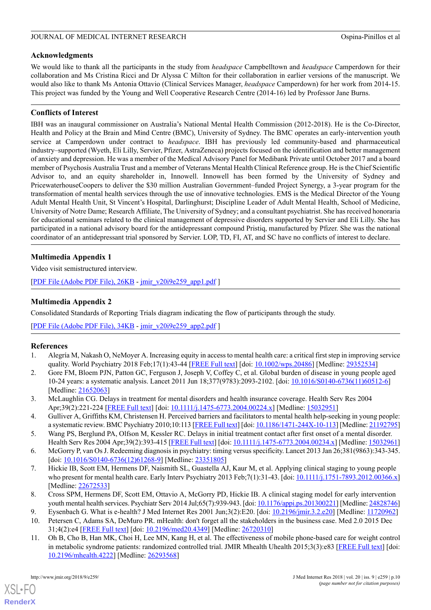### **Acknowledgments**

We would like to thank all the participants in the study from *headspace* Campbelltown and *headspace* Camperdown for their collaboration and Ms Cristina Ricci and Dr Alyssa C Milton for their collaboration in earlier versions of the manuscript. We would also like to thank Ms Antonia Ottavio (Clinical Services Manager, *headspace* Camperdown) for her work from 2014-15. This project was funded by the Young and Well Cooperative Research Centre (2014-16) led by Professor Jane Burns.

### **Conflicts of Interest**

IBH was an inaugural commissioner on Australia's National Mental Health Commission (2012-2018). He is the Co-Director, Health and Policy at the Brain and Mind Centre (BMC), University of Sydney. The BMC operates an early-intervention youth service at Camperdown under contract to *headspace*. IBH has previously led community-based and pharmaceutical industry–supported (Wyeth, Eli Lilly, Servier, Pfizer, AstraZeneca) projects focused on the identification and better management of anxiety and depression. He was a member of the Medical Advisory Panel for Medibank Private until October 2017 and a board member of Psychosis Australia Trust and a member of Veterans Mental Health Clinical Reference group. He is the Chief Scientific Advisor to, and an equity shareholder in, Innowell. Innowell has been formed by the University of Sydney and PricewaterhouseCoopers to deliver the \$30 million Australian Government–funded Project Synergy, a 3-year program for the transformation of mental health services through the use of innovative technologies. EMS is the Medical Director of the Young Adult Mental Health Unit, St Vincent's Hospital, Darlinghurst; Discipline Leader of Adult Mental Health, School of Medicine, University of Notre Dame; Research Affiliate, The University of Sydney; and a consultant psychiatrist. She has received honoraria for educational seminars related to the clinical management of depressive disorders supported by Servier and Eli Lilly. She has participated in a national advisory board for the antidepressant compound Pristiq, manufactured by Pfizer. She was the national coordinator of an antidepressant trial sponsored by Servier. LOP, TD, FI, AT, and SC have no conflicts of interest to declare.

### <span id="page-12-11"></span>**Multimedia Appendix 1**

<span id="page-12-12"></span>Video visit semistructured interview.

[[PDF File \(Adobe PDF File\), 26KB](https://www.jmir.org/article/downloadSuppFile/9966/79310) - [jmir\\_v20i9e259\\_app1.pdf](https://www.jmir.org/article/downloadSuppFile/9966/79310) ]

### **Multimedia Appendix 2**

Consolidated Standards of Reporting Trials diagram indicating the flow of participants through the study.

<span id="page-12-0"></span>[[PDF File \(Adobe PDF File\), 34KB](https://www.jmir.org/article/downloadSuppFile/9966/83766) - [jmir\\_v20i9e259\\_app2.pdf](https://www.jmir.org/article/downloadSuppFile/9966/83766) ]

#### <span id="page-12-1"></span>**References**

- <span id="page-12-2"></span>1. Alegría M, Nakash O, NeMoyer A. Increasing equity in access to mental health care: a critical first step in improving service quality. World Psychiatry 2018 Feb;17(1):43-44 [\[FREE Full text\]](http://dx.doi.org/10.1002/wps.20486) [doi: [10.1002/wps.20486\]](http://dx.doi.org/10.1002/wps.20486) [Medline: [29352534\]](http://www.ncbi.nlm.nih.gov/entrez/query.fcgi?cmd=Retrieve&db=PubMed&list_uids=29352534&dopt=Abstract)
- <span id="page-12-3"></span>2. Gore FM, Bloem PJN, Patton GC, Ferguson J, Joseph V, Coffey C, et al. Global burden of disease in young people aged 10-24 years: a systematic analysis. Lancet 2011 Jun 18;377(9783):2093-2102. [doi: [10.1016/S0140-6736\(11\)60512-6](http://dx.doi.org/10.1016/S0140-6736(11)60512-6)] [Medline: [21652063](http://www.ncbi.nlm.nih.gov/entrez/query.fcgi?cmd=Retrieve&db=PubMed&list_uids=21652063&dopt=Abstract)]
- <span id="page-12-5"></span><span id="page-12-4"></span>3. McLaughlin CG. Delays in treatment for mental disorders and health insurance coverage. Health Serv Res 2004 Apr;39(2):221-224 [\[FREE Full text\]](http://europepmc.org/abstract/MED/15032951) [doi: [10.1111/j.1475-6773.2004.00224.x](http://dx.doi.org/10.1111/j.1475-6773.2004.00224.x)] [Medline: [15032951](http://www.ncbi.nlm.nih.gov/entrez/query.fcgi?cmd=Retrieve&db=PubMed&list_uids=15032951&dopt=Abstract)]
- <span id="page-12-6"></span>4. Gulliver A, Griffiths KM, Christensen H. Perceived barriers and facilitators to mental health help-seeking in young people: a systematic review. BMC Psychiatry 2010;10:113 [\[FREE Full text](http://www.biomedcentral.com/1471-244X/10/113)] [doi: [10.1186/1471-244X-10-113](http://dx.doi.org/10.1186/1471-244X-10-113)] [Medline: [21192795\]](http://www.ncbi.nlm.nih.gov/entrez/query.fcgi?cmd=Retrieve&db=PubMed&list_uids=21192795&dopt=Abstract)
- 5. Wang PS, Berglund PA, Olfson M, Kessler RC. Delays in initial treatment contact after first onset of a mental disorder. Health Serv Res 2004 Apr;39(2):393-415 [\[FREE Full text\]](http://europepmc.org/abstract/MED/15032961) [doi: [10.1111/j.1475-6773.2004.00234.x](http://dx.doi.org/10.1111/j.1475-6773.2004.00234.x)] [Medline: [15032961](http://www.ncbi.nlm.nih.gov/entrez/query.fcgi?cmd=Retrieve&db=PubMed&list_uids=15032961&dopt=Abstract)]
- <span id="page-12-7"></span>6. McGorry P, van Os J. Redeeming diagnosis in psychiatry: timing versus specificity. Lancet 2013 Jan 26;381(9863):343-345. [doi: <u>[10.1016/S0140-6736\(12\)61268-9](http://dx.doi.org/10.1016/S0140-6736(12)61268-9)</u>] [Medline: [23351805\]](http://www.ncbi.nlm.nih.gov/entrez/query.fcgi?cmd=Retrieve&db=PubMed&list_uids=23351805&dopt=Abstract)
- <span id="page-12-9"></span><span id="page-12-8"></span>7. Hickie IB, Scott EM, Hermens DF, Naismith SL, Guastella AJ, Kaur M, et al. Applying clinical staging to young people who present for mental health care. Early Interv Psychiatry 2013 Feb;7(1):31-43. [doi: [10.1111/j.1751-7893.2012.00366.x](http://dx.doi.org/10.1111/j.1751-7893.2012.00366.x)] [Medline: [22672533](http://www.ncbi.nlm.nih.gov/entrez/query.fcgi?cmd=Retrieve&db=PubMed&list_uids=22672533&dopt=Abstract)]
- <span id="page-12-10"></span>8. Cross SPM, Hermens DF, Scott EM, Ottavio A, McGorry PD, Hickie IB. A clinical staging model for early intervention youth mental health services. Psychiatr Serv 2014 Jul;65(7):939-943. [doi: [10.1176/appi.ps.201300221](http://dx.doi.org/10.1176/appi.ps.201300221)] [Medline: [24828746](http://www.ncbi.nlm.nih.gov/entrez/query.fcgi?cmd=Retrieve&db=PubMed&list_uids=24828746&dopt=Abstract)]
- 9. Eysenbach G. What is e-health? J Med Internet Res 2001 Jun;3(2):E20. [doi: [10.2196/jmir.3.2.e20\]](http://dx.doi.org/10.2196/jmir.3.2.e20) [Medline: [11720962\]](http://www.ncbi.nlm.nih.gov/entrez/query.fcgi?cmd=Retrieve&db=PubMed&list_uids=11720962&dopt=Abstract)
- 10. Petersen C, Adams SA, DeMuro PR. mHealth: don't forget all the stakeholders in the business case. Med 2.0 2015 Dec 31;4(2):e4 [[FREE Full text](http://www.medicine20.com/2015/2/e4/)] [doi: [10.2196/med20.4349\]](http://dx.doi.org/10.2196/med20.4349) [Medline: [26720310](http://www.ncbi.nlm.nih.gov/entrez/query.fcgi?cmd=Retrieve&db=PubMed&list_uids=26720310&dopt=Abstract)]
- 11. Oh B, Cho B, Han MK, Choi H, Lee MN, Kang H, et al. The effectiveness of mobile phone-based care for weight control in metabolic syndrome patients: randomized controlled trial. JMIR Mhealth Uhealth 2015;3(3):e83 [[FREE Full text](http://mhealth.jmir.org/2015/3/e83/)] [doi: [10.2196/mhealth.4222](http://dx.doi.org/10.2196/mhealth.4222)] [Medline: [26293568](http://www.ncbi.nlm.nih.gov/entrez/query.fcgi?cmd=Retrieve&db=PubMed&list_uids=26293568&dopt=Abstract)]

[XSL](http://www.w3.org/Style/XSL)•FO **[RenderX](http://www.renderx.com/)**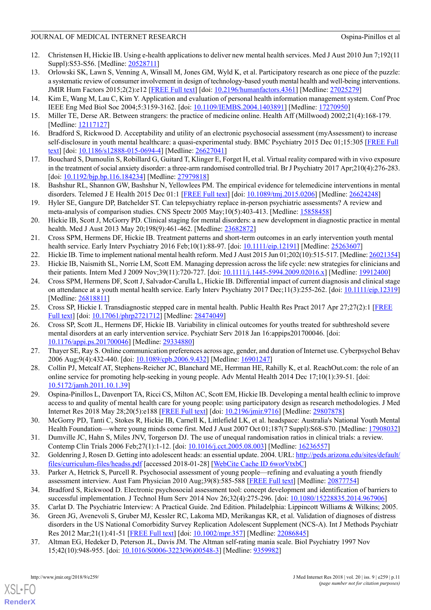#### JOURNAL OF MEDICAL INTERNET RESEARCH CONDUCTED OSPINAL OSPINAL OF MEDICAL INTERNET RESEARCH

- <span id="page-13-0"></span>12. Christensen H, Hickie IB. Using e-health applications to deliver new mental health services. Med J Aust 2010 Jun 7;192(11 Suppl):S53-S56. [Medline: [20528711\]](http://www.ncbi.nlm.nih.gov/entrez/query.fcgi?cmd=Retrieve&db=PubMed&list_uids=20528711&dopt=Abstract)
- <span id="page-13-1"></span>13. Orlowski SK, Lawn S, Venning A, Winsall M, Jones GM, Wyld K, et al. Participatory research as one piece of the puzzle: a systematic review of consumer involvement in design of technology-based youth mental health and well-being interventions. JMIR Hum Factors 2015;2(2):e12 [[FREE Full text](http://humanfactors.jmir.org/2015/2/e12/)] [doi: [10.2196/humanfactors.4361](http://dx.doi.org/10.2196/humanfactors.4361)] [Medline: [27025279](http://www.ncbi.nlm.nih.gov/entrez/query.fcgi?cmd=Retrieve&db=PubMed&list_uids=27025279&dopt=Abstract)]
- <span id="page-13-3"></span><span id="page-13-2"></span>14. Kim E, Wang M, Lau C, Kim Y. Application and evaluation of personal health information management system. Conf Proc IEEE Eng Med Biol Soc 2004;5:3159-3162. [doi: [10.1109/IEMBS.2004.1403891\]](http://dx.doi.org/10.1109/IEMBS.2004.1403891) [Medline: [17270950\]](http://www.ncbi.nlm.nih.gov/entrez/query.fcgi?cmd=Retrieve&db=PubMed&list_uids=17270950&dopt=Abstract)
- <span id="page-13-4"></span>15. Miller TE, Derse AR. Between strangers: the practice of medicine online. Health Aff (Millwood) 2002;21(4):168-179. [Medline: [12117127](http://www.ncbi.nlm.nih.gov/entrez/query.fcgi?cmd=Retrieve&db=PubMed&list_uids=12117127&dopt=Abstract)]
- <span id="page-13-5"></span>16. Bradford S, Rickwood D. Acceptability and utility of an electronic psychosocial assessment (myAssessment) to increase self-disclosure in youth mental healthcare: a quasi-experimental study. BMC Psychiatry 2015 Dec 01;15:305 [[FREE Full](https://bmcpsychiatry.biomedcentral.com/articles/10.1186/s12888-015-0694-4) [text\]](https://bmcpsychiatry.biomedcentral.com/articles/10.1186/s12888-015-0694-4) [doi: [10.1186/s12888-015-0694-4](http://dx.doi.org/10.1186/s12888-015-0694-4)] [Medline: [26627041](http://www.ncbi.nlm.nih.gov/entrez/query.fcgi?cmd=Retrieve&db=PubMed&list_uids=26627041&dopt=Abstract)]
- <span id="page-13-6"></span>17. Bouchard S, Dumoulin S, Robillard G, Guitard T, Klinger E, Forget H, et al. Virtual reality compared with in vivo exposure in the treatment of social anxiety disorder: a three-arm randomised controlled trial. Br J Psychiatry 2017 Apr;210(4):276-283. [doi: [10.1192/bjp.bp.116.184234\]](http://dx.doi.org/10.1192/bjp.bp.116.184234) [Medline: [27979818](http://www.ncbi.nlm.nih.gov/entrez/query.fcgi?cmd=Retrieve&db=PubMed&list_uids=27979818&dopt=Abstract)]
- <span id="page-13-7"></span>18. Bashshur RL, Shannon GW, Bashshur N, Yellowlees PM. The empirical evidence for telemedicine interventions in mental disorders. Telemed J E Health 2015 Dec 01:1 [[FREE Full text](http://europepmc.org/abstract/MED/26624248)] [doi: [10.1089/tmj.2015.0206\]](http://dx.doi.org/10.1089/tmj.2015.0206) [Medline: [26624248\]](http://www.ncbi.nlm.nih.gov/entrez/query.fcgi?cmd=Retrieve&db=PubMed&list_uids=26624248&dopt=Abstract)
- <span id="page-13-8"></span>19. Hyler SE, Gangure DP, Batchelder ST. Can telepsychiatry replace in-person psychiatric assessments? A review and meta-analysis of comparison studies. CNS Spectr 2005 May;10(5):403-413. [Medline: [15858458\]](http://www.ncbi.nlm.nih.gov/entrez/query.fcgi?cmd=Retrieve&db=PubMed&list_uids=15858458&dopt=Abstract)
- <span id="page-13-9"></span>20. Hickie IB, Scott J, McGorry PD. Clinical staging for mental disorders: a new development in diagnostic practice in mental health. Med J Aust 2013 May 20;198(9):461-462. [Medline: [23682872](http://www.ncbi.nlm.nih.gov/entrez/query.fcgi?cmd=Retrieve&db=PubMed&list_uids=23682872&dopt=Abstract)]
- <span id="page-13-11"></span><span id="page-13-10"></span>21. Cross SPM, Hermens DF, Hickie IB. Treatment patterns and short-term outcomes in an early intervention youth mental health service. Early Interv Psychiatry 2016 Feb;10(1):88-97. [doi: [10.1111/eip.12191](http://dx.doi.org/10.1111/eip.12191)] [Medline: [25263607\]](http://www.ncbi.nlm.nih.gov/entrez/query.fcgi?cmd=Retrieve&db=PubMed&list_uids=25263607&dopt=Abstract)
- 22. Hickie IB. Time to implement national mental health reform. Med J Aust 2015 Jun 01;202(10):515-517. [Medline: [26021354\]](http://www.ncbi.nlm.nih.gov/entrez/query.fcgi?cmd=Retrieve&db=PubMed&list_uids=26021354&dopt=Abstract)
- 23. Hickie IB, Naismith SL, Norrie LM, Scott EM. Managing depression across the life cycle: new strategies for clinicians and their patients. Intern Med J 2009 Nov;39(11):720-727. [doi: [10.1111/j.1445-5994.2009.02016.x](http://dx.doi.org/10.1111/j.1445-5994.2009.02016.x)] [Medline: [19912400](http://www.ncbi.nlm.nih.gov/entrez/query.fcgi?cmd=Retrieve&db=PubMed&list_uids=19912400&dopt=Abstract)]
- <span id="page-13-12"></span>24. Cross SPM, Hermens DF, Scott J, Salvador-Carulla L, Hickie IB. Differential impact of current diagnosis and clinical stage on attendance at a youth mental health service. Early Interv Psychiatry 2017 Dec;11(3):255-262. [doi: [10.1111/eip.12319](http://dx.doi.org/10.1111/eip.12319)] [Medline: [26818811](http://www.ncbi.nlm.nih.gov/entrez/query.fcgi?cmd=Retrieve&db=PubMed&list_uids=26818811&dopt=Abstract)]
- <span id="page-13-13"></span>25. Cross SP, Hickie I. Transdiagnostic stepped care in mental health. Public Health Res Pract 2017 Apr 27;27(2):1 [[FREE](https://dx.doi.org/10.17061/phrp2721712) [Full text](https://dx.doi.org/10.17061/phrp2721712)] [doi: [10.17061/phrp2721712\]](http://dx.doi.org/10.17061/phrp2721712) [Medline: [28474049\]](http://www.ncbi.nlm.nih.gov/entrez/query.fcgi?cmd=Retrieve&db=PubMed&list_uids=28474049&dopt=Abstract)
- <span id="page-13-14"></span>26. Cross SP, Scott JL, Hermens DF, Hickie IB. Variability in clinical outcomes for youths treated for subthreshold severe mental disorders at an early intervention service. Psychiatr Serv 2018 Jan 16:appips201700046. [doi: [10.1176/appi.ps.201700046\]](http://dx.doi.org/10.1176/appi.ps.201700046) [Medline: [29334880](http://www.ncbi.nlm.nih.gov/entrez/query.fcgi?cmd=Retrieve&db=PubMed&list_uids=29334880&dopt=Abstract)]
- <span id="page-13-15"></span>27. Thayer SE, Ray S. Online communication preferences across age, gender, and duration of Internet use. Cyberpsychol Behav 2006 Aug;9(4):432-440. [doi: [10.1089/cpb.2006.9.432](http://dx.doi.org/10.1089/cpb.2006.9.432)] [Medline: [16901247](http://www.ncbi.nlm.nih.gov/entrez/query.fcgi?cmd=Retrieve&db=PubMed&list_uids=16901247&dopt=Abstract)]
- <span id="page-13-16"></span>28. Collin PJ, Metcalf AT, Stephens-Reicher JC, Blanchard ME, Herrman HE, Rahilly K, et al. ReachOut.com: the role of an online service for promoting help-seeking in young people. Adv Mental Health 2014 Dec 17;10(1):39-51. [doi: [10.5172/jamh.2011.10.1.39](http://dx.doi.org/10.5172/jamh.2011.10.1.39)]
- <span id="page-13-17"></span>29. Ospina-Pinillos L, Davenport TA, Ricci CS, Milton AC, Scott EM, Hickie IB. Developing a mental health eclinic to improve access to and quality of mental health care for young people: using participatory design as research methodologies. J Med Internet Res 2018 May 28;20(5):e188 [\[FREE Full text\]](http://www.jmir.org/2018/5/e188/) [doi: [10.2196/jmir.9716\]](http://dx.doi.org/10.2196/jmir.9716) [Medline: [29807878\]](http://www.ncbi.nlm.nih.gov/entrez/query.fcgi?cmd=Retrieve&db=PubMed&list_uids=29807878&dopt=Abstract)
- <span id="page-13-19"></span><span id="page-13-18"></span>30. McGorry PD, Tanti C, Stokes R, Hickie IB, Carnell K, Littlefield LK, et al. headspace: Australia's National Youth Mental Health Foundation—where young minds come first. Med J Aust 2007 Oct 01;187(7 Suppl):S68-S70. [Medline: [17908032](http://www.ncbi.nlm.nih.gov/entrez/query.fcgi?cmd=Retrieve&db=PubMed&list_uids=17908032&dopt=Abstract)]
- <span id="page-13-20"></span>31. Dumville JC, Hahn S, Miles JNV, Torgerson DJ. The use of unequal randomisation ratios in clinical trials: a review. Contemp Clin Trials 2006 Feb;27(1):1-12. [doi: [10.1016/j.cct.2005.08.003\]](http://dx.doi.org/10.1016/j.cct.2005.08.003) [Medline: [16236557\]](http://www.ncbi.nlm.nih.gov/entrez/query.fcgi?cmd=Retrieve&db=PubMed&list_uids=16236557&dopt=Abstract)
- <span id="page-13-21"></span>32. Goldenring J, Rosen D. Getting into adolescent heads: an essential update. 2004. URL: [http://peds.arizona.edu/sites/default/](http://peds.arizona.edu/sites/default/files/curriculum-files/headss.pdf) [files/curriculum-files/headss.pdf](http://peds.arizona.edu/sites/default/files/curriculum-files/headss.pdf) [accessed 2018-01-28] [\[WebCite Cache ID 6worVtxbC](http://www.webcitation.org/6worVtxbC)]
- <span id="page-13-22"></span>33. Parker A, Hetrick S, Purcell R. Psychosocial assessment of young people—refining and evaluating a youth friendly assessment interview. Aust Fam Physician 2010 Aug;39(8):585-588 [[FREE Full text](http://www.racgp.org.au/afp/201008/38497)] [Medline: [20877754\]](http://www.ncbi.nlm.nih.gov/entrez/query.fcgi?cmd=Retrieve&db=PubMed&list_uids=20877754&dopt=Abstract)
- <span id="page-13-23"></span>34. Bradford S, Rickwood D. Electronic psychosocial assessment tool: concept development and identification of barriers to successful implementation. J Technol Hum Serv 2014 Nov 26;32(4):275-296. [doi: [10.1080/15228835.2014.967906](http://dx.doi.org/10.1080/15228835.2014.967906)]
- 35. Carlat D. The Psychiatric Interview: A Practical Guide. 2nd Edition. Philadelphia: Lippincott Williams & Wilkins; 2005.
- 36. Green JG, Avenevoli S, Gruber MJ, Kessler RC, Lakoma MD, Merikangas KR, et al. Validation of diagnoses of distress disorders in the US National Comorbidity Survey Replication Adolescent Supplement (NCS-A). Int J Methods Psychiatr Res 2012 Mar;21(1):41-51 [[FREE Full text](http://europepmc.org/abstract/MED/22086845)] [doi: [10.1002/mpr.357\]](http://dx.doi.org/10.1002/mpr.357) [Medline: [22086845](http://www.ncbi.nlm.nih.gov/entrez/query.fcgi?cmd=Retrieve&db=PubMed&list_uids=22086845&dopt=Abstract)]
- 37. Altman EG, Hedeker D, Peterson JL, Davis JM. The Altman self-rating mania scale. Biol Psychiatry 1997 Nov 15;42(10):948-955. [doi: [10.1016/S0006-3223\(96\)00548-3\]](http://dx.doi.org/10.1016/S0006-3223(96)00548-3) [Medline: [9359982](http://www.ncbi.nlm.nih.gov/entrez/query.fcgi?cmd=Retrieve&db=PubMed&list_uids=9359982&dopt=Abstract)]

[XSL](http://www.w3.org/Style/XSL)•FO **[RenderX](http://www.renderx.com/)**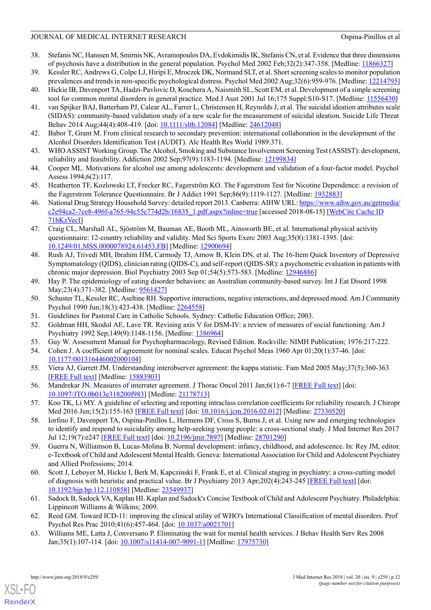#### JOURNAL OF MEDICAL INTERNET RESEARCH CONDUCTED OSPINAL OSPINAL OF MEDICAL INTERNET RESEARCH

- <span id="page-14-0"></span>38. Stefanis NC, Hanssen M, Smirnis NK, Avramopoulos DA, Evdokimidis IK, Stefanis CN, et al. Evidence that three dimensions of psychosis have a distribution in the general population. Psychol Med 2002 Feb;32(2):347-358. [Medline: [11866327\]](http://www.ncbi.nlm.nih.gov/entrez/query.fcgi?cmd=Retrieve&db=PubMed&list_uids=11866327&dopt=Abstract)
- <span id="page-14-2"></span><span id="page-14-1"></span>39. Kessler RC, Andrews G, Colpe LJ, Hiripi E, Mroczek DK, Normand SLT, et al. Short screening scales to monitor population prevalences and trends in non-specific psychological distress. Psychol Med 2002 Aug;32(6):959-976. [Medline: [12214795](http://www.ncbi.nlm.nih.gov/entrez/query.fcgi?cmd=Retrieve&db=PubMed&list_uids=12214795&dopt=Abstract)]
- <span id="page-14-3"></span>40. Hickie IB, Davenport TA, Hadzi-Pavlovic D, Koschera A, Naismith SL, Scott EM, et al. Development of a simple screening tool for common mental disorders in general practice. Med J Aust 2001 Jul 16;175 Suppl:S10-S17. [Medline: [11556430](http://www.ncbi.nlm.nih.gov/entrez/query.fcgi?cmd=Retrieve&db=PubMed&list_uids=11556430&dopt=Abstract)]
- 41. van Spijker BAJ, Batterham PJ, Calear AL, Farrer L, Christensen H, Reynolds J, et al. The suicidal ideation attributes scale (SIDAS): community-based validation study of a new scale for the measurement of suicidal ideation. Suicide Life Threat Behav 2014 Aug;44(4):408-419. [doi: [10.1111/sltb.12084](http://dx.doi.org/10.1111/sltb.12084)] [Medline: [24612048\]](http://www.ncbi.nlm.nih.gov/entrez/query.fcgi?cmd=Retrieve&db=PubMed&list_uids=24612048&dopt=Abstract)
- <span id="page-14-5"></span><span id="page-14-4"></span>42. Babor T, Grant M. From clinical research to secondary prevention: international collaboration in the development of the Alcohol Disorders Identification Test (AUDIT). Alc Health Res World 1989:371.
- <span id="page-14-6"></span>43. WHO ASSIST Working Group. The Alcohol, Smoking and Substance Involvement Screening Test (ASSIST): development, reliability and feasibility. Addiction 2002 Sep;97(9):1183-1194. [Medline: [12199834\]](http://www.ncbi.nlm.nih.gov/entrez/query.fcgi?cmd=Retrieve&db=PubMed&list_uids=12199834&dopt=Abstract)
- <span id="page-14-7"></span>44. Cooper ML. Motivations for alcohol use among adolescents: development and validation of a four-factor model. Psychol Assess 1994;6(2):117.
- <span id="page-14-8"></span>45. Heatherton TF, Kozlowski LT, Frecker RC, Fagerström KO. The Fagerstrom Test for Nicotine Dependence: a revision of the Fagerstrom Tolerance Questionnaire. Br J Addict 1991 Sep;86(9):1119-1127. [Medline: [1932883](http://www.ncbi.nlm.nih.gov/entrez/query.fcgi?cmd=Retrieve&db=PubMed&list_uids=1932883&dopt=Abstract)]
- <span id="page-14-9"></span>46. National Drug Strategy Household Survey: detailed report 2013. Canberra: AIHW URL: [https://www.aihw.gov.au/getmedia/](https://www.aihw.gov.au/getmedia/c2e94ca2-7ce8-496f-a765-94c55c774d2b/16835_1.pdf.aspx?inline=true) [c2e94ca2-7ce8-496f-a765-94c55c774d2b/16835\\_1.pdf.aspx?inline=true](https://www.aihw.gov.au/getmedia/c2e94ca2-7ce8-496f-a765-94c55c774d2b/16835_1.pdf.aspx?inline=true) [accessed 2018-08-15] [[WebCite Cache ID](http://www.webcitation.org/71hKzVecI) [71hKzVecI\]](http://www.webcitation.org/71hKzVecI)
- <span id="page-14-10"></span>47. Craig CL, Marshall AL, Sjöström M, Bauman AE, Booth ML, Ainsworth BE, et al. International physical activity questionnaire: 12-country reliability and validity. Med Sci Sports Exerc 2003 Aug;35(8):1381-1395. [doi: [10.1249/01.MSS.0000078924.61453.FB](http://dx.doi.org/10.1249/01.MSS.0000078924.61453.FB)] [Medline: [12900694\]](http://www.ncbi.nlm.nih.gov/entrez/query.fcgi?cmd=Retrieve&db=PubMed&list_uids=12900694&dopt=Abstract)
- <span id="page-14-11"></span>48. Rush AJ, Trivedi MH, Ibrahim HM, Carmody TJ, Arnow B, Klein DN, et al. The 16-Item Quick Inventory of Depressive Symptomatology (QIDS), clinician rating (QIDS-C), and self-report (QIDS-SR): a psychometric evaluation in patients with chronic major depression. Biol Psychiatry 2003 Sep 01;54(5):573-583. [Medline: [12946886](http://www.ncbi.nlm.nih.gov/entrez/query.fcgi?cmd=Retrieve&db=PubMed&list_uids=12946886&dopt=Abstract)]
- <span id="page-14-13"></span><span id="page-14-12"></span>49. Hay P. The epidemiology of eating disorder behaviors: an Australian community-based survey. Int J Eat Disord 1998 May;23(4):371-382. [Medline: [9561427](http://www.ncbi.nlm.nih.gov/entrez/query.fcgi?cmd=Retrieve&db=PubMed&list_uids=9561427&dopt=Abstract)]
- <span id="page-14-14"></span>50. Schuster TL, Kessler RC, Aseltine RH. Supportive interactions, negative interactions, and depressed mood. Am J Community Psychol 1990 Jun;18(3):423-438. [Medline: [2264558\]](http://www.ncbi.nlm.nih.gov/entrez/query.fcgi?cmd=Retrieve&db=PubMed&list_uids=2264558&dopt=Abstract)
- <span id="page-14-16"></span><span id="page-14-15"></span>51. Guidelines for Pastoral Care in Catholic Schools. Sydney: Catholic Education Office; 2003.
- <span id="page-14-17"></span>52. Goldman HH, Skodol AE, Lave TR. Revising axis V for DSM-IV: a review of measures of social functioning. Am J Psychiatry 1992 Sep;149(9):1148-1156. [Medline: [1386964](http://www.ncbi.nlm.nih.gov/entrez/query.fcgi?cmd=Retrieve&db=PubMed&list_uids=1386964&dopt=Abstract)]
- 53. Guy W. Assessment Manual for Psychopharmacology, Revised Edition. Rockville: NIMH Publication; 1976:217-222.
- <span id="page-14-18"></span>54. Cohen J. A coefficient of agreement for nominal scales. Educat Psychol Meas 1960 Apr 01;20(1):37-46. [doi: [10.1177/001316446002000104](http://dx.doi.org/10.1177/001316446002000104)]
- <span id="page-14-19"></span>55. Viera AJ, Garrett JM. Understanding interobserver agreement: the kappa statistic. Fam Med 2005 May;37(5):360-363 [[FREE Full text](http://www.stfm.org/fmhub/fm2005/May/Anthony360.pdf)] [Medline: [15883903](http://www.ncbi.nlm.nih.gov/entrez/query.fcgi?cmd=Retrieve&db=PubMed&list_uids=15883903&dopt=Abstract)]
- <span id="page-14-20"></span>56. Mandrekar JN. Measures of interrater agreement. J Thorac Oncol 2011 Jan;6(1):6-7 [\[FREE Full text\]](http://linkinghub.elsevier.com/retrieve/pii/S1556-0864(15)31887-6) [doi: [10.1097/JTO.0b013e318200f983](http://dx.doi.org/10.1097/JTO.0b013e318200f983)] [Medline: [21178713](http://www.ncbi.nlm.nih.gov/entrez/query.fcgi?cmd=Retrieve&db=PubMed&list_uids=21178713&dopt=Abstract)]
- <span id="page-14-21"></span>57. Koo TK, Li MY. A guideline of selecting and reporting intraclass correlation coefficients for reliability research. J Chiropr Med 2016 Jun;15(2):155-163 [\[FREE Full text\]](http://europepmc.org/abstract/MED/27330520) [doi: [10.1016/j.jcm.2016.02.012\]](http://dx.doi.org/10.1016/j.jcm.2016.02.012) [Medline: [27330520\]](http://www.ncbi.nlm.nih.gov/entrez/query.fcgi?cmd=Retrieve&db=PubMed&list_uids=27330520&dopt=Abstract)
- <span id="page-14-22"></span>58. Iorfino F, Davenport TA, Ospina-Pinillos L, Hermens DF, Cross S, Burns J, et al. Using new and emerging technologies to identify and respond to suicidality among help-seeking young people: a cross-sectional study. J Med Internet Res 2017 Jul 12;19(7):e247 [\[FREE Full text\]](http://www.jmir.org/2017/7/e247/) [doi: [10.2196/jmir.7897\]](http://dx.doi.org/10.2196/jmir.7897) [Medline: [28701290](http://www.ncbi.nlm.nih.gov/entrez/query.fcgi?cmd=Retrieve&db=PubMed&list_uids=28701290&dopt=Abstract)]
- <span id="page-14-23"></span>59. Guerra N, Williamson B, Lucas-Molina B. Normal development: infancy, childhood, and adolescence. In: Rey JM, editor. e-Textbook of Child and Adolescent Mental Health. Geneva: International Association for Child and Adolescent Psychiatry and Allied Professions; 2014.
- <span id="page-14-25"></span><span id="page-14-24"></span>60. Scott J, Leboyer M, Hickie I, Berk M, Kapczinski F, Frank E, et al. Clinical staging in psychiatry: a cross-cutting model of diagnosis with heuristic and practical value. Br J Psychiatry 2013 Apr;202(4):243-245 [\[FREE Full text\]](http://bjp.rcpsych.org/cgi/pmidlookup?view=long&pmid=23549937) [doi: [10.1192/bjp.bp.112.110858\]](http://dx.doi.org/10.1192/bjp.bp.112.110858) [Medline: [23549937\]](http://www.ncbi.nlm.nih.gov/entrez/query.fcgi?cmd=Retrieve&db=PubMed&list_uids=23549937&dopt=Abstract)
- 61. Sadock B, Sadock VA, Kaplan HI. Kaplan and Sadock's Concise Textbook of Child and Adolescent Psychiatry. Philadelphia: Lippincott Williams & Wilkins; 2009.
- 62. Reed GM. Toward ICD-11: improving the clinical utility of WHO's International Classification of mental disorders. Prof Psychol Res Prac 2010;41(6):457-464. [doi: [10.1037/a0021701](http://dx.doi.org/10.1037/a0021701)]
- 63. Williams ME, Latta J, Conversano P. Eliminating the wait for mental health services. J Behav Health Serv Res 2008 Jan;35(1):107-114. [doi: [10.1007/s11414-007-9091-1](http://dx.doi.org/10.1007/s11414-007-9091-1)] [Medline: [17975730\]](http://www.ncbi.nlm.nih.gov/entrez/query.fcgi?cmd=Retrieve&db=PubMed&list_uids=17975730&dopt=Abstract)

[XSL](http://www.w3.org/Style/XSL)•FO **[RenderX](http://www.renderx.com/)**